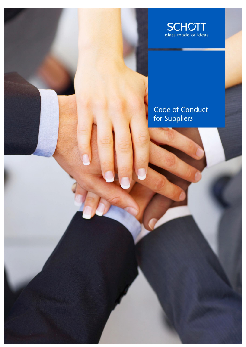

# Code of Conduct<br>for Suppliers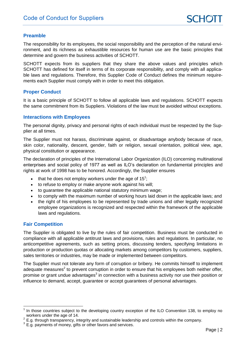### **Preamble**

The responsibility for its employees, the social responsibility and the perception of the natural environment, and its richness as exhaustible resources for human use are the basic principles that determine and govern the business activities of SCHOTT.

SCHOTT expects from its suppliers that they share the above values and principles which SCHOTT has defined for itself in terms of its corporate responsibility, and comply with all applicable laws and regulations. Therefore, this Supplier Code of Conduct defines the minimum requirements each Supplier must comply with in order to meet this obligation.

### **Proper Conduct**

It is a basic principle of SCHOTT to follow all applicable laws and regulations. SCHOTT expects the same commitment from its Suppliers. Violations of the law must be avoided without exceptions.

### **Interactions with Employees**

The personal dignity, privacy and personal rights of each individual must be respected by the Supplier at all times.

The Supplier must not harass, discriminate against, or disadvantage anybody because of race, skin color, nationality, descent, gender, faith or religion, sexual orientation, political view, age, physical constitution or appearance.

The declaration of principles of the International Labor Organization (ILO) concerning multinational enterprises and social policy of 1977 as well as ILO's declaration on fundamental principles and rights at work of 1998 has to be honored. Accordingly, the Supplier ensures

- $\bullet$  that he does not employ workers under the age of 15<sup>1</sup>;
- to refuse to employ or make anyone work against his will;
- to guarantee the applicable national statutory minimum wage;
- to comply with the maximum number of working hours laid down in the applicable laws; and
- the right of his employees to be represented by trade unions and other legally recognized employee organizations is recognized and respected within the framework of the applicable laws and regulations.

### **Fair Competition**

The Supplier is obligated to live by the rules of fair competition. Business must be conducted in compliance with all applicable antitrust laws and provisions, rules and regulations. In particular, no anticompetitive agreements, such as setting prices, discussing tenders, specifying limitations in production or production quotas or allocating markets among competitors by customers, suppliers, sales territories or industries, may be made or implemented between competitors.

The Supplier must not tolerate any form of corruption or bribery. He commits himself to implement adequate measures<sup>2</sup> to prevent corruption in order to ensure that his employees both neither offer, promise or grant undue advantages<sup>3</sup> in connection with a business activity nor use their position or influence to demand, accept, guarantee or accept guarantees of personal advantages.

<sup>-</sup><sup>1</sup> In those countries subject to the developing country exception of the ILO Convention 138, to employ no workers under the age of 14.

 $2$  E.g. through transparency, integrity and sustainable leadership and controls within the company.

 $3$  E.g. payments of money, gifts or other favors and services.